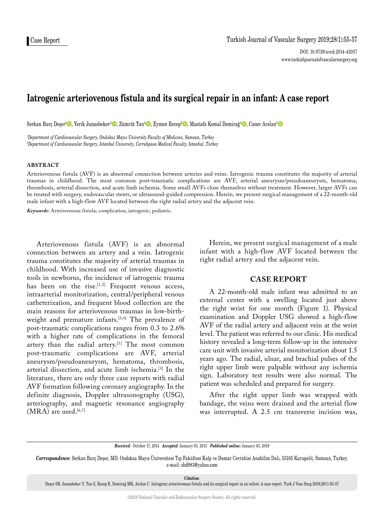# **Iatrogenic arteriovenous fistula and its surgical repair in an infant: A case report**

Serkan Burç Deşer<sup>ı</sup>©, Yerik Junusbekov<sup>2</sup>©, Zümrüt Tan<sup>2</sup>©, Eymen Recep<sup>2</sup>©, Mustafa Kemal Demirağ<sup>ı</sup>©, Caner Arslan<sup>2</sup>©

*1 Department of Cardiovascular Surgery, Ondokuz Mayıs University Faculty of Medicine, Samsun, Turkey 2 Department of Cardiovascular Surgery, Istanbul University, Cerrahpasa Medical Faculty, Istanbul, Turkey*

## **ABSTRACT**

Arteriovenous fistula (AVF) is an abnormal connection between arteries and veins. Iatrogenic trauma constitutes the majority of arterial traumas in childhood. The most common post-traumatic complications are AVF, arterial aneurysm/pseudoaneurysm, hematoma, thrombosis, arterial dissection, and acute limb ischemia. Some small AVFs close themselves without treatment. However, larger AVFs can be treated with surgery, endovascular stents, or ultrasound-guided compression. Herein, we present surgical management of a 22-month-old male infant with a high-flow AVF located between the right radial artery and the adjacent vein.

*Keywords:* Arteriovenous fistula; complication; iatrogenic; pediatric.

Arteriovenous fistula (AVF) is an abnormal connection between an artery and a vein. Iatrogenic trauma constitutes the majority of arterial traumas in childhood. With increased use of invasive diagnostic tools in newborns, the incidence of iatrogenic trauma has been on the rise.<sup>[1,2]</sup> Frequent venous access, intraarterial monitorization, central/peripheral venous catheterization, and frequent blood collection are the main reasons for arteriovenous traumas in low-birthweight and premature infants.<sup>[3,4]</sup> The prevalence of post-traumatic complications ranges from 0.3 to 2.6% with a higher rate of complications in the femoral artery than the radial artery.<sup>[5]</sup> The most common post-traumatic complications are AVF, arterial aneurysm/pseudoaneurysm, hematoma, thrombosis, arterial dissection, and acute limb ischemia.[3] In the literature, there are only three case reports with radial AVF formation following coronary angiography. In the definite diagnosis, Doppler ultrasonography (USG), arteriography, and magnetic resonance angiography  $(MRA)$  are used.<sup>[6,7]</sup>

Herein, we present surgical management of a male infant with a high-flow AVF located between the right radial artery and the adjacent vein.

# **CASE REPORT**

A 22-month-old male infant was admitted to an external center with a swelling located just above the right wrist for one month (Figure 1). Physical examination and Doppler USG showed a high-flow AVF of the radial artery and adjacent vein at the wrist level. The patient was referred to our clinic. His medical history revealed a long-term follow-up in the intensive care unit with invasive arterial monitorization about 1.5 years ago. The radial, ulnar, and brachial pulses of the right upper limb were palpable without any ischemia sign. Laboratory test results were also normal. The patient was scheduled and prepared for surgery.

After the right upper limb was wrapped with bandage, the veins were drained and the arterial flow was interrupted. A 2.5 cm transverse incision was,

*Received:* October 17, 2014 *Accepted:* January 03, 2015 *Published online:* January 03, 2019

*Correspondence:* Serkan Burç Deşer, MD. Ondokuz Mayıs Üniversitesi Tıp Fakültesi Kalp ve Damar Cerrahisi Anabilim Dalı, 55105 Kurupelit, Samsun, Turkey. e-mail: sbd983@yahoo.com

*Citation:*

Deşer SB, Junusbekov Y, Tan Z, Recep E, Demirağ MK, Arslan C. Iatrogenic arteriovenous fistula and its surgical repair in an infant: A case report. Turk J Vasc Surg 2019;28(1):55-57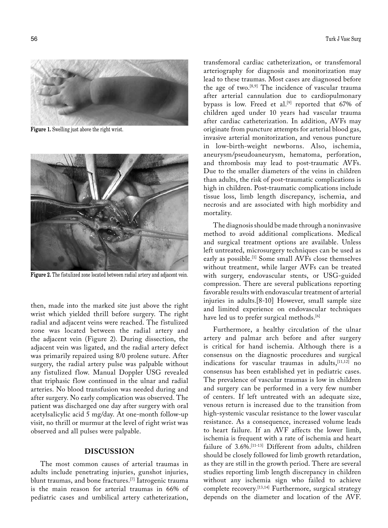

**Figure 1.** Swelling just above the right wrist.



**Figure 2.** The fistulized zone located between radial artery and adjacent vein.

then, made into the marked site just above the right wrist which yielded thrill before surgery. The right radial and adjacent veins were reached. The fistulized zone was located between the radial artery and the adjacent vein (Figure 2). During dissection, the adjacent vein was ligated, and the radial artery defect was primarily repaired using 8/0 prolene suture. After surgery, the radial artery pulse was palpable without any fistulized flow. Manual Doppler USG revealed that triphasic flow continued in the ulnar and radial arteries. No blood transfusion was needed during and after surgery. No early complication was observed. The patient was discharged one day after surgery with oral acetylsalicylic acid 5 mg/day. At one-month follow-up visit, no thrill or murmur at the level of right wrist was observed and all pulses were palpable.

## **DISCUSSION**

The most common causes of arterial traumas in adults include penetrating injuries, gunshot injuries, blunt traumas, and bone fractures.[7] Iatrogenic trauma is the main reason for arterial traumas in 66% of pediatric cases and umbilical artery catheterization,

transfemoral cardiac catheterization, or transfemoral arteriography for diagnosis and monitorization may lead to these traumas. Most cases are diagnosed before the age of two.[8,9] The incidence of vascular trauma after arterial cannulation due to cardiopulmonary bypass is low. Freed et al.<sup>[9]</sup> reported that 67% of children aged under 10 years had vascular trauma after cardiac catheterization. In addition, AVFs may originate from puncture attempts for arterial blood gas, invasive arterial monitorization, and venous puncture in low-birth-weight newborns. Also, ischemia, aneurysm/pseudoaneurysm, hematoma, perforation, and thrombosis may lead to post-traumatic AVFs. Due to the smaller diameters of the veins in children than adults, the risk of post-traumatic complications is high in children. Post-traumatic complications include tissue loss, limb length discrepancy, ischemia, and necrosis and are associated with high morbidity and mortality.

The diagnosis should be made through a noninvasive method to avoid additional complications. Medical and surgical treatment options are available. Unless left untreated, microsurgery techniques can be used as early as possible.[1] Some small AVFs close themselves without treatment, while larger AVFs can be treated with surgery, endovascular stents, or USG-guided compression. There are several publications reporting favorable results with endovascular treatment of arterial injuries in adults.[8-10] However, small sample size and limited experience on endovascular techniques have led us to prefer surgical methods.<sup>[6]</sup>

Furthermore, a healthy circulation of the ulnar artery and palmar arch before and after surgery is critical for hand ischemia. Although there is a consensus on the diagnostic procedures and surgical indications for vascular traumas in adults,  $[11,12]$  no consensus has been established yet in pediatric cases. The prevalence of vascular traumas is low in children and surgery can be performed in a very few number of centers. If left untreated with an adequate size, venous return is increased due to the transition from high-systemic vascular resistance to the lower vascular resistance. As a consequence, increased volume leads to heart failure. If an AVF affects the lower limb, ischemia is frequent with a rate of ischemia and heart failure of 3.6%.[11-13] Different from adults, children should be closely followed for limb growth retardation, as they are still in the growth period. There are several studies reporting limb length discrepancy in children without any ischemia sign who failed to achieve complete recovery.[13,14] Furthermore, surgical strategy depends on the diameter and location of the AVF.